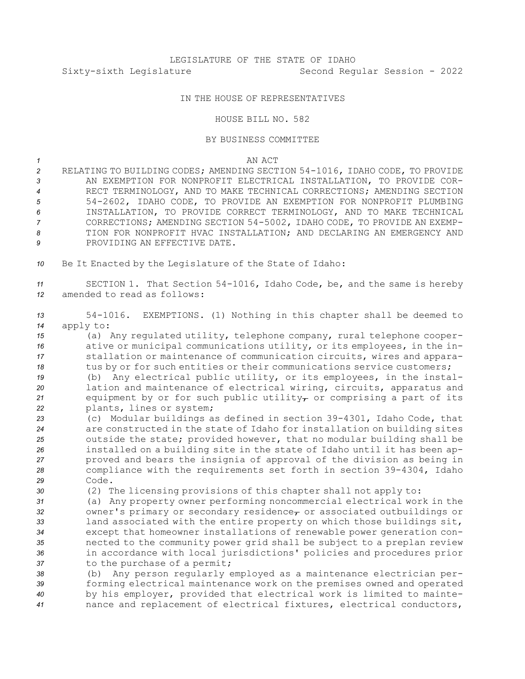## IN THE HOUSE OF REPRESENTATIVES

## HOUSE BILL NO. 582

## BY BUSINESS COMMITTEE

## *1* AN ACT

- *<sup>2</sup>* RELATING TO BUILDING CODES; AMENDING SECTION 54-1016, IDAHO CODE, TO PROVIDE *3* AN EXEMPTION FOR NONPROFIT ELECTRICAL INSTALLATION, TO PROVIDE COR-*4* RECT TERMINOLOGY, AND TO MAKE TECHNICAL CORRECTIONS; AMENDING SECTION *<sup>5</sup>* 54-2602, IDAHO CODE, TO PROVIDE AN EXEMPTION FOR NONPROFIT PLUMBING *6* INSTALLATION, TO PROVIDE CORRECT TERMINOLOGY, AND TO MAKE TECHNICAL *<sup>7</sup>* CORRECTIONS; AMENDING SECTION 54-5002, IDAHO CODE, TO PROVIDE AN EXEMP-*8* TION FOR NONPROFIT HVAC INSTALLATION; AND DECLARING AN EMERGENCY AND **9** PROVIDING AN EFFECTIVE DATE.
- *<sup>10</sup>* Be It Enacted by the Legislature of the State of Idaho:

*<sup>11</sup>* SECTION 1. That Section 54-1016, Idaho Code, be, and the same is hereby *12* amended to read as follows:

*<sup>13</sup>* 54-1016. EXEMPTIONS. (1) Nothing in this chapter shall be deemed to *<sup>14</sup>* apply to:

 (a) Any regulated utility, telephone company, rural telephone cooper- ative or municipal communications utility, or its employees, in the in- stallation or maintenance of communication circuits, wires and appara-18 tus by or for such entities or their communications service customers;

 (b) Any electrical public utility, or its employees, in the instal- lation and maintenance of electrical wiring, circuits, apparatus and equipment by or for such public utility<sub> $\tau$ </sub> or comprising a part of its plants, lines or system;

- *<sup>23</sup>* (c) Modular buildings as defined in section 39-4301, Idaho Code, that *<sup>24</sup>* are constructed in the state of Idaho for installation on building sites *<sup>25</sup>* outside the state; provided however, that no modular building shall be *<sup>26</sup>* installed on <sup>a</sup> building site in the state of Idaho until it has been ap-*<sup>27</sup>* proved and bears the insignia of approval of the division as being in *<sup>28</sup>* compliance with the requirements set forth in section 39-4304, Idaho *29* Code.
- *<sup>30</sup>* (2) The licensing provisions of this chapter shall not apply to:
- *<sup>31</sup>* (a) Any property owner performing noncommercial electrical work in the 32 owner's primary or secondary residence<sub>r</sub> or associated outbuildings or *<sup>33</sup>* land associated with the entire property on which those buildings sit, *<sup>34</sup>* except that homeowner installations of renewable power generation con-*<sup>35</sup>* nected to the community power grid shall be subject to <sup>a</sup> preplan review *<sup>36</sup>* in accordance with local jurisdictions' policies and procedures prior *<sup>37</sup>* to the purchase of <sup>a</sup> permit;

 (b) Any person regularly employed as <sup>a</sup> maintenance electrician per- forming electrical maintenance work on the premises owned and operated by his employer, provided that electrical work is limited to mainte-nance and replacement of electrical fixtures, electrical conductors,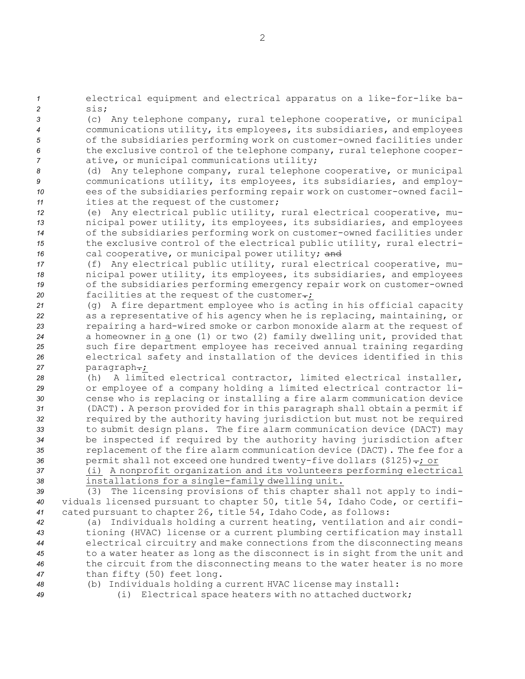*<sup>1</sup>* electrical equipment and electrical apparatus on <sup>a</sup> like-for-like ba-*2* sis;

 (c) Any telephone company, rural telephone cooperative, or municipal communications utility, its employees, its subsidiaries, and employees of the subsidiaries performing work on customer-owned facilities under the exclusive control of the telephone company, rural telephone cooper-ative, or municipal communications utility;

 (d) Any telephone company, rural telephone cooperative, or municipal communications utility, its employees, its subsidiaries, and employ- ees of the subsidiaries performing repair work on customer-owned facil-ities at the request of the customer;

 (e) Any electrical public utility, rural electrical cooperative, mu- nicipal power utility, its employees, its subsidiaries, and employees of the subsidiaries performing work on customer-owned facilities under the exclusive control of the electrical public utility, rural electri-16 cal cooperative, or municipal power utility; and

 (f) Any electrical public utility, rural electrical cooperative, mu- nicipal power utility, its employees, its subsidiaries, and employees of the subsidiaries performing emergency repair work on customer-owned **facilities at the request of the customer**.

 (g) <sup>A</sup> fire department employee who is acting in his official capacity as <sup>a</sup> representative of his agency when he is replacing, maintaining, or repairing <sup>a</sup> hard-wired smoke or carbon monoxide alarm at the request of <sup>a</sup> homeowner in <sup>a</sup> one (1) or two (2) family dwelling unit, provided that such fire department employee has received annual training regarding electrical safety and installation of the devices identified in this 27 paragraph-;

 (h) A limited electrical contractor, limited electrical installer, or employee of <sup>a</sup> company holding <sup>a</sup> limited electrical contractor li- cense who is replacing or installing <sup>a</sup> fire alarm communication device (DACT). <sup>A</sup> person provided for in this paragraph shall obtain <sup>a</sup> permit if required by the authority having jurisdiction but must not be required to submit design plans. The fire alarm communication device (DACT) may be inspected if required by the authority having jurisdiction after replacement of the fire alarm communication device (DACT). The fee for <sup>a</sup> 36 permit shall not exceed one hundred twenty-five dollars (\$125)-; or

*<sup>37</sup>* (i) <sup>A</sup> nonprofit organization and its volunteers performing electrical *<sup>38</sup>* installations for <sup>a</sup> single-family dwelling unit.

*<sup>39</sup>* (3) The licensing provisions of this chapter shall not apply to indi-*<sup>40</sup>* viduals licensed pursuant to chapter 50, title 54, Idaho Code, or certifi-*<sup>41</sup>* cated pursuant to chapter 26, title 54, Idaho Code, as follows:

 (a) Individuals holding <sup>a</sup> current heating, ventilation and air condi- tioning (HVAC) license or <sup>a</sup> current plumbing certification may install electrical circuitry and make connections from the disconnecting means to <sup>a</sup> water heater as long as the disconnect is in sight from the unit and the circuit from the disconnecting means to the water heater is no more than fifty (50) feet long.

*<sup>48</sup>* (b) Individuals holding <sup>a</sup> current HVAC license may install:

*<sup>49</sup>* (i) Electrical space heaters with no attached ductwork;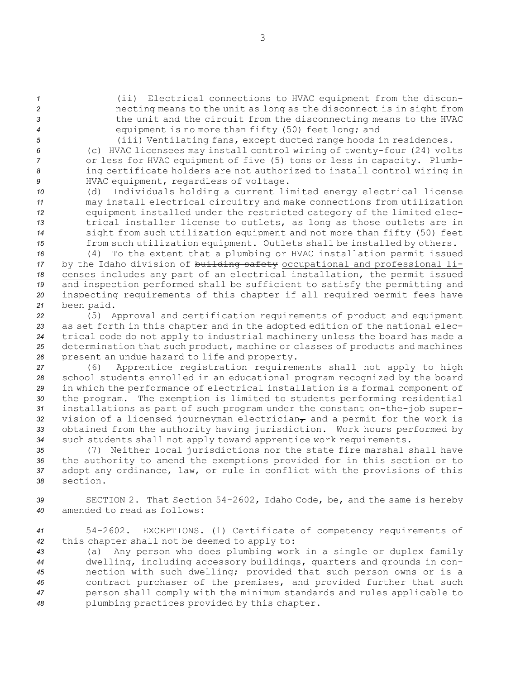(ii) Electrical connections to HVAC equipment from the discon- necting means to the unit as long as the disconnect is in sight from the unit and the circuit from the disconnecting means to the HVAC equipment is no more than fifty (50) feet long; and

 (iii) Ventilating fans, except ducted range hoods in residences. (c) HVAC licensees may install control wiring of twenty-four (24) volts or less for HVAC equipment of five (5) tons or less in capacity. Plumb- ing certificate holders are not authorized to install control wiring in HVAC equipment, regardless of voltage.

 (d) Individuals holding <sup>a</sup> current limited energy electrical license may install electrical circuitry and make connections from utilization equipment installed under the restricted category of the limited elec- trical installer license to outlets, as long as those outlets are in sight from such utilization equipment and not more than fifty (50) feet from such utilization equipment. Outlets shall be installed by others.

 (4) To the extent that <sup>a</sup> plumbing or HVAC installation permit issued by the Idaho division of building safety occupational and professional li- censes includes any part of an electrical installation, the permit issued and inspection performed shall be sufficient to satisfy the permitting and inspecting requirements of this chapter if all required permit fees have been paid.

 (5) Approval and certification requirements of product and equipment as set forth in this chapter and in the adopted edition of the national elec- trical code do not apply to industrial machinery unless the board has made <sup>a</sup> determination that such product, machine or classes of products and machines present an undue hazard to life and property.

 (6) Apprentice registration requirements shall not apply to high school students enrolled in an educational program recognized by the board in which the performance of electrical installation is <sup>a</sup> formal component of the program. The exemption is limited to students performing residential installations as part of such program under the constant on-the-job super-32 vision of a licensed journeyman electrician<sub>T</sub> and a permit for the work is obtained from the authority having jurisdiction. Work hours performed by such students shall not apply toward apprentice work requirements.

 (7) Neither local jurisdictions nor the state fire marshal shall have the authority to amend the exemptions provided for in this section or to adopt any ordinance, law, or rule in conflict with the provisions of this *38* section.

*<sup>39</sup>* SECTION 2. That Section 54-2602, Idaho Code, be, and the same is hereby *40* amended to read as follows:

*<sup>41</sup>* 54-2602. EXCEPTIONS. (1) Certificate of competency requirements of *<sup>42</sup>* this chapter shall not be deemed to apply to:

 (a) Any person who does plumbing work in <sup>a</sup> single or duplex family dwelling, including accessory buildings, quarters and grounds in con- nection with such dwelling; provided that such person owns or is <sup>a</sup> contract purchaser of the premises, and provided further that such person shall comply with the minimum standards and rules applicable to plumbing practices provided by this chapter.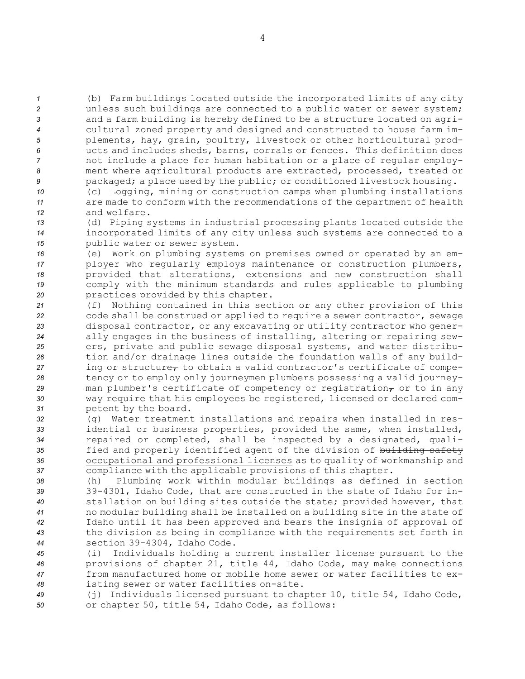(b) Farm buildings located outside the incorporated limits of any city unless such buildings are connected to <sup>a</sup> public water or sewer system; and <sup>a</sup> farm building is hereby defined to be <sup>a</sup> structure located on agri- cultural zoned property and designed and constructed to house farm im- plements, hay, grain, poultry, livestock or other horticultural prod- ucts and includes sheds, barns, corrals or fences. This definition does not include <sup>a</sup> place for human habitation or <sup>a</sup> place of regular employ- ment where agricultural products are extracted, processed, treated or packaged; <sup>a</sup> place used by the public; or conditioned livestock housing.

- *<sup>10</sup>* (c) Logging, mining or construction camps when plumbing installations *<sup>11</sup>* are made to conform with the recommendations of the department of health *12* and welfare.
- *<sup>13</sup>* (d) Piping systems in industrial processing plants located outside the *<sup>14</sup>* incorporated limits of any city unless such systems are connected to <sup>a</sup> *<sup>15</sup>* public water or sewer system.
- *<sup>16</sup>* (e) Work on plumbing systems on premises owned or operated by an em-*<sup>17</sup>* ployer who regularly employs maintenance or construction plumbers, *<sup>18</sup>* provided that alterations, extensions and new construction shall *<sup>19</sup>* comply with the minimum standards and rules applicable to plumbing *<sup>20</sup>* practices provided by this chapter.
- *<sup>21</sup>* (f) Nothing contained in this section or any other provision of this *<sup>22</sup>* code shall be construed or applied to require <sup>a</sup> sewer contractor, sewage *<sup>23</sup>* disposal contractor, or any excavating or utility contractor who gener-*<sup>24</sup>* ally engages in the business of installing, altering or repairing sew-*<sup>25</sup>* ers, private and public sewage disposal systems, and water distribu-*<sup>26</sup>* tion and/or drainage lines outside the foundation walls of any build- $27$  ing or structure<sub> $\tau$ </sub> to obtain a valid contractor's certificate of compe-*<sup>28</sup>* tency or to employ only journeymen plumbers possessing <sup>a</sup> valid journey-29 man plumber's certificate of competency or registration<sub>7</sub> or to in any *<sup>30</sup>* way require that his employees be registered, licensed or declared com-*<sup>31</sup>* petent by the board.
- *<sup>32</sup>* (g) Water treatment installations and repairs when installed in res-*<sup>33</sup>* idential or business properties, provided the same, when installed, *<sup>34</sup>* repaired or completed, shall be inspected by <sup>a</sup> designated, quali-35 fied and properly identified agent of the division of building safety *<sup>36</sup>* occupational and professional licenses as to quality of workmanship and *<sup>37</sup>* compliance with the applicable provisions of this chapter.
- *<sup>38</sup>* (h) Plumbing work within modular buildings as defined in section *<sup>39</sup>* 39-4301, Idaho Code, that are constructed in the state of Idaho for in-*<sup>40</sup>* stallation on building sites outside the state; provided however, that *<sup>41</sup>* no modular building shall be installed on <sup>a</sup> building site in the state of *<sup>42</sup>* Idaho until it has been approved and bears the insignia of approval of *<sup>43</sup>* the division as being in compliance with the requirements set forth in *<sup>44</sup>* section 39-4304, Idaho Code.
- *<sup>45</sup>* (i) Individuals holding <sup>a</sup> current installer license pursuant to the *<sup>46</sup>* provisions of chapter 21, title 44, Idaho Code, may make connections *47* from manufactured home or mobile home sewer or water facilities to ex-*<sup>48</sup>* isting sewer or water facilities on-site.
- *<sup>49</sup>* (j) Individuals licensed pursuant to chapter 10, title 54, Idaho Code, *<sup>50</sup>* or chapter 50, title 54, Idaho Code, as follows: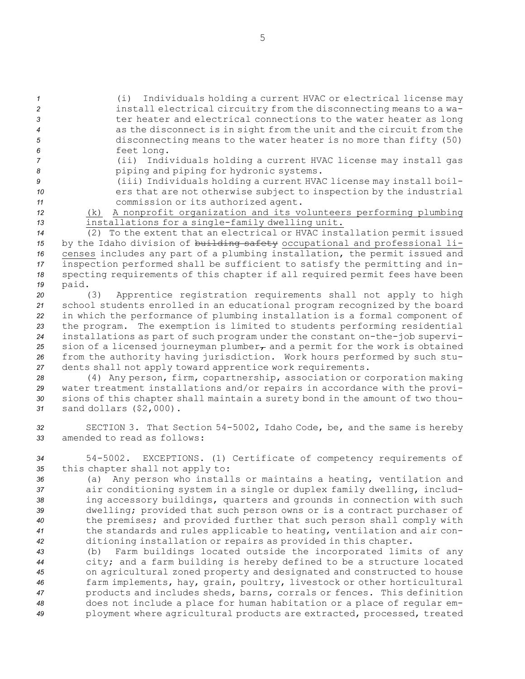(i) Individuals holding <sup>a</sup> current HVAC or electrical license may install electrical circuitry from the disconnecting means to <sup>a</sup> wa-**19 text** ter heater and electrical connections to the water heater as long as the disconnect is in sight from the unit and the circuit from the disconnecting means to the water heater is no more than fifty (50) feet long.

*<sup>7</sup>* (ii) Individuals holding <sup>a</sup> current HVAC license may install gas *<sup>8</sup>* piping and piping for hydronic systems.

*<sup>9</sup>* (iii) Individuals holding <sup>a</sup> current HVAC license may install boil-10 **ers** that are not otherwise subject to inspection by the industrial *<sup>11</sup>* commission or its authorized agent.

*<sup>12</sup>* (k) <sup>A</sup> nonprofit organization and its volunteers performing plumbing *<sup>13</sup>* installations for <sup>a</sup> single-family dwelling unit.

 (2) To the extent that an electrical or HVAC installation permit issued by the Idaho division of building safety occupational and professional li- censes includes any part of <sup>a</sup> plumbing installation, the permit issued and inspection performed shall be sufficient to satisfy the permitting and in- specting requirements of this chapter if all required permit fees have been *<sup>19</sup>* paid.

 (3) Apprentice registration requirements shall not apply to high school students enrolled in an educational program recognized by the board in which the performance of plumbing installation is <sup>a</sup> formal component of the program. The exemption is limited to students performing residential installations as part of such program under the constant on-the-job supervi-25 sion of a licensed journeyman plumber<sub> $\tau$ </sub> and a permit for the work is obtained from the authority having jurisdiction. Work hours performed by such stu-dents shall not apply toward apprentice work requirements.

 (4) Any person, firm, copartnership, association or corporation making water treatment installations and/or repairs in accordance with the provi- sions of this chapter shall maintain <sup>a</sup> surety bond in the amount of two thou-sand dollars (\$2,000).

*<sup>32</sup>* SECTION 3. That Section 54-5002, Idaho Code, be, and the same is hereby *33* amended to read as follows:

*<sup>34</sup>* 54-5002. EXCEPTIONS. (1) Certificate of competency requirements of *<sup>35</sup>* this chapter shall not apply to:

 (a) Any person who installs or maintains <sup>a</sup> heating, ventilation and air conditioning system in <sup>a</sup> single or duplex family dwelling, includ- ing accessory buildings, quarters and grounds in connection with such dwelling; provided that such person owns or is <sup>a</sup> contract purchaser of the premises; and provided further that such person shall comply with the standards and rules applicable to heating, ventilation and air con-ditioning installation or repairs as provided in this chapter.

 (b) Farm buildings located outside the incorporated limits of any city; and <sup>a</sup> farm building is hereby defined to be <sup>a</sup> structure located on agricultural zoned property and designated and constructed to house farm implements, hay, grain, poultry, livestock or other horticultural products and includes sheds, barns, corrals or fences. This definition does not include <sup>a</sup> place for human habitation or <sup>a</sup> place of regular em-ployment where agricultural products are extracted, processed, treated